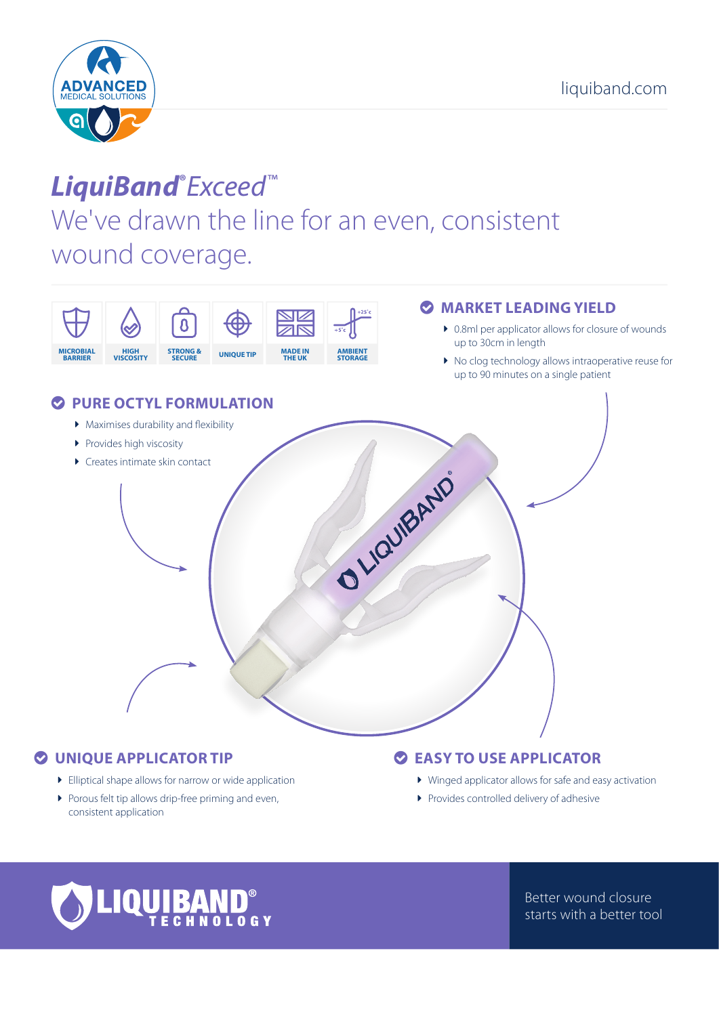

# *LiquiBand***®** *Exceed™*

## We've drawn the line for an even, consistent wound coverage.



#### $\odot$  **UNIQUE APPLICATOR TIP**

- **Elliptical shape allows for narrow or wide application**
- **Porous felt tip allows drip-free priming and even,** consistent application

#### $\odot$  **EASY TO USE APPLICATOR**

- $\blacktriangleright$  Winged applicator allows for safe and easy activation
- Provides controlled delivery of adhesive



Better wound closure starts with a better tool